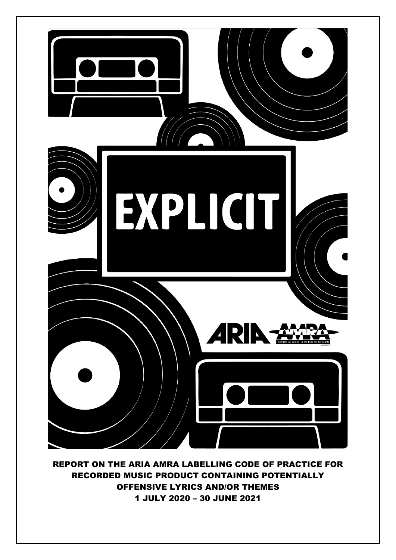

REPORT ON THE ARIA AMRA LABELLING CODE OF PRACTICE FOR RECORDED MUSIC PRODUCT CONTAINING POTENTIALLY OFFENSIVE LYRICS AND/OR THEMES 1 JULY 2020 – 30 JUNE 2021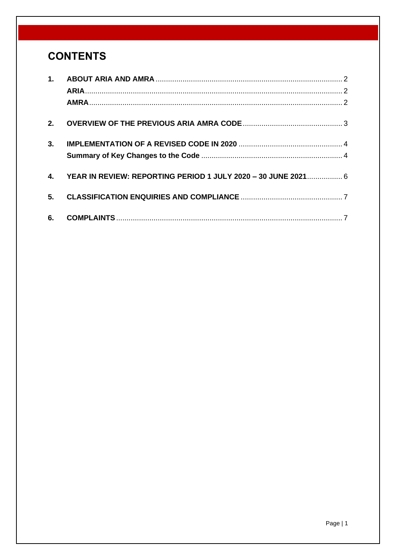# **CONTENTS**

| 2.           |                                                               |  |
|--------------|---------------------------------------------------------------|--|
| 3.           |                                                               |  |
|              |                                                               |  |
| $\mathbf{4}$ | YEAR IN REVIEW: REPORTING PERIOD 1 JULY 2020 - 30 JUNE 2021 6 |  |
| 5.           |                                                               |  |
| 6.           |                                                               |  |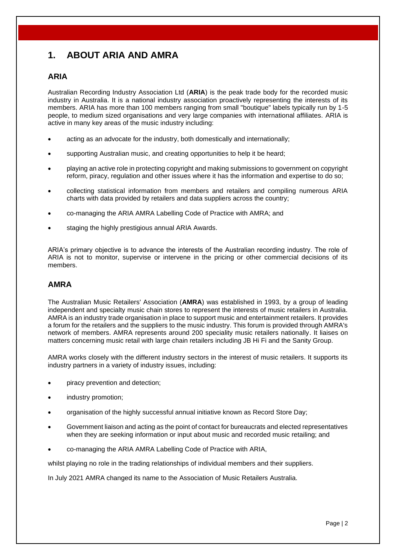## <span id="page-2-0"></span>**1. ABOUT ARIA AND AMRA**

### <span id="page-2-1"></span>**ARIA**

Australian Recording Industry Association Ltd (**ARIA**) is the peak trade body for the recorded music industry in Australia. It is a national industry association proactively representing the interests of its members. ARIA has more than 100 members ranging from small "boutique" labels typically run by 1-5 people, to medium sized organisations and very large companies with international affiliates. ARIA is active in many key areas of the music industry including:

- acting as an advocate for the industry, both domestically and internationally;
- supporting Australian music, and creating opportunities to help it be heard;
- playing an active role in protecting copyright and making submissions to government on copyright reform, piracy, regulation and other issues where it has the information and expertise to do so;
- collecting statistical information from members and retailers and compiling numerous ARIA charts with data provided by retailers and data suppliers across the country;
- co-managing the ARIA AMRA Labelling Code of Practice with AMRA; and
- staging the highly prestigious annual ARIA Awards.

ARIA's primary objective is to advance the interests of the Australian recording industry. The role of ARIA is not to monitor, supervise or intervene in the pricing or other commercial decisions of its members.

### <span id="page-2-2"></span>**AMRA**

The Australian Music Retailers' Association (**AMRA**) was established in 1993, by a group of leading independent and specialty music chain stores to represent the interests of music retailers in Australia. AMRA is an industry trade organisation in place to support music and entertainment retailers. It provides a forum for the retailers and the suppliers to the music industry. This forum is provided through AMRA's network of members. AMRA represents around 200 speciality music retailers nationally. It liaises on matters concerning music retail with large chain retailers including JB Hi Fi and the Sanity Group.

AMRA works closely with the different industry sectors in the interest of music retailers. It supports its industry partners in a variety of industry issues, including:

- piracy prevention and detection;
- industry promotion;
- organisation of the highly successful annual initiative known as Record Store Day;
- Government liaison and acting as the point of contact for bureaucrats and elected representatives when they are seeking information or input about music and recorded music retailing; and
- co-managing the ARIA AMRA Labelling Code of Practice with ARIA,

whilst playing no role in the trading relationships of individual members and their suppliers.

In July 2021 AMRA changed its name to the Association of Music Retailers Australia.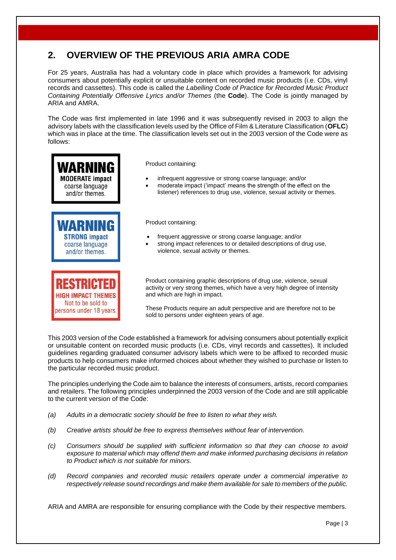## <span id="page-3-0"></span>**2. OVERVIEW OF THE PREVIOUS ARIA AMRA CODE**

For 25 years, Australia has had a voluntary code in place which provides a framework for advising consumers about potentially explicit or unsuitable content on recorded music products (i.e. CDs, vinyl records and cassettes). This code is called the *Labelling Code of Practice for Recorded Music Product Containing Potentially Offensive Lyrics and/or Themes* (the **Code**). The Code is jointly managed by ARIA and AMRA.

The Code was first implemented in late 1996 and it was subsequently revised in 2003 to align the advisory labels with the classification levels used by the Office of Film & Literature Classification (**OFLC**) which was in place at the time. The classification levels set out in the 2003 version of the Code were as follows:



Not to be sold to persons under 18 years.



- infrequent aggressive or strong coarse language; and/or
- moderate impact ('impact' means the strength of the effect on the listener) references to drug use, violence, sexual activity or themes.

#### Product containing:

- frequent aggressive or strong coarse language; and/or
- strong impact references to or detailed descriptions of drug use, violence, sexual activity or themes.

Product containing graphic descriptions of drug use, violence, sexual activity or very strong themes, which have a very high degree of intensity and which are high in impact.

These Products require an adult perspective and are therefore not to be sold to persons under eighteen years of age.

This 2003 version of the Code established a framework for advising consumers about potentially explicit or unsuitable content on recorded music products (i.e. CDs, vinyl records and cassettes). It included guidelines regarding graduated consumer advisory labels which were to be affixed to recorded music products to help consumers make informed choices about whether they wished to purchase or listen to the particular recorded music product.

The principles underlying the Code aim to balance the interests of consumers, artists, record companies and retailers. The following principles underpinned the 2003 version of the Code and are still applicable to the current version of the Code:

- *(a) Adults in a democratic society should be free to listen to what they wish.*
- *(b) Creative artists should be free to express themselves without fear of intervention.*
- *(c) Consumers should be supplied with sufficient information so that they can choose to avoid exposure to material which may offend them and make informed purchasing decisions in relation to Product which is not suitable for minors.*
- *(d) Record companies and recorded music retailers operate under a commercial imperative to respectively release sound recordings and make them available for sale to members of the public.*

ARIA and AMRA are responsible for ensuring compliance with the Code by their respective members.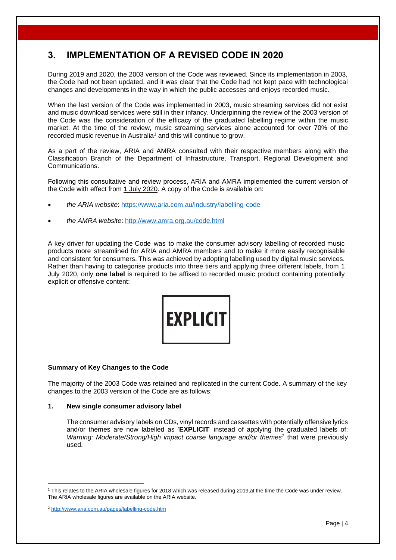### <span id="page-4-0"></span>**3. IMPLEMENTATION OF A REVISED CODE IN 2020**

During 2019 and 2020, the 2003 version of the Code was reviewed. Since its implementation in 2003, the Code had not been updated, and it was clear that the Code had not kept pace with technological changes and developments in the way in which the public accesses and enjoys recorded music.

When the last version of the Code was implemented in 2003, music streaming services did not exist and music download services were still in their infancy. Underpinning the review of the 2003 version of the Code was the consideration of the efficacy of the graduated labelling regime within the music market. At the time of the review, music streaming services alone accounted for over 70% of the recorded music revenue in Australia<sup>1</sup> and this will continue to grow.

As a part of the review, ARIA and AMRA consulted with their respective members along with the Classification Branch of the Department of Infrastructure, Transport, Regional Development and Communications.

Following this consultative and review process, ARIA and AMRA implemented the current version of the Code with effect from 1 July 2020. A copy of the Code is available on:

- *the ARIA website*:<https://www.aria.com.au/industry/labelling-code>
- *the AMRA website*:<http://www.amra.org.au/code.html>

A key driver for updating the Code was to make the consumer advisory labelling of recorded music products more streamlined for ARIA and AMRA members and to make it more easily recognisable and consistent for consumers. This was achieved by adopting labelling used by digital music services. Rather than having to categorise products into three tiers and applying three different labels, from 1 July 2020, only **one label** is required to be affixed to recorded music product containing potentially explicit or offensive content:



#### <span id="page-4-1"></span>**Summary of Key Changes to the Code**

The majority of the 2003 Code was retained and replicated in the current Code. A summary of the key changes to the 2003 version of the Code are as follows:

#### **1. New single consumer advisory label**

The consumer advisory labels on CDs, vinyl records and cassettes with potentially offensive lyrics and/or themes are now labelled as '**EXPLICIT**' instead of applying the graduated labels of: Warning: Moderate/Strong/High impact coarse language and/or themes<sup>2</sup> that were previously used.

<sup>1</sup> This relates to the ARIA wholesale figures for 2018 which was released during 2019,at the time the Code was under review. The ARIA wholesale figures are available on the ARIA website.

<sup>2</sup> <http://www.aria.com.au/pages/labelling-code.htm>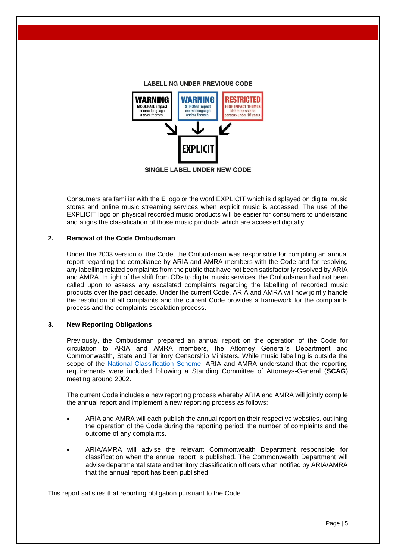

SINGLE LABEL UNDER NEW CODE

Consumers are familiar with the **E** logo or the word EXPLICIT which is displayed on digital music stores and online music streaming services when explicit music is accessed. The use of the EXPLICIT logo on physical recorded music products will be easier for consumers to understand and aligns the classification of those music products which are accessed digitally.

#### **2. Removal of the Code Ombudsman**

Under the 2003 version of the Code, the Ombudsman was responsible for compiling an annual report regarding the compliance by ARIA and AMRA members with the Code and for resolving any labelling related complaints from the public that have not been satisfactorily resolved by ARIA and AMRA. In light of the shift from CDs to digital music services, the Ombudsman had not been called upon to assess any escalated complaints regarding the labelling of recorded music products over the past decade. Under the current Code, ARIA and AMRA will now jointly handle the resolution of all complaints and the current Code provides a framework for the complaints process and the complaints escalation process.

#### **3. New Reporting Obligations**

Previously, the Ombudsman prepared an annual report on the operation of the Code for circulation to ARIA and AMRA members, the Attorney General's Department and Commonwealth, State and Territory Censorship Ministers. While music labelling is outside the scope of the [National Classification Scheme,](https://www.classification.gov.au/) ARIA and AMRA understand that the reporting requirements were included following a Standing Committee of Attorneys-General (**SCAG**) meeting around 2002.

The current Code includes a new reporting process whereby ARIA and AMRA will jointly compile the annual report and implement a new reporting process as follows:

- ARIA and AMRA will each publish the annual report on their respective websites, outlining the operation of the Code during the reporting period, the number of complaints and the outcome of any complaints.
- ARIA/AMRA will advise the relevant Commonwealth Department responsible for classification when the annual report is published. The Commonwealth Department will advise departmental state and territory classification officers when notified by ARIA/AMRA that the annual report has been published.

This report satisfies that reporting obligation pursuant to the Code.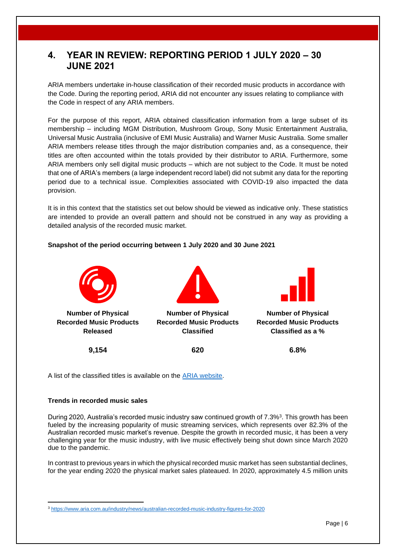### <span id="page-6-0"></span>**4. YEAR IN REVIEW: REPORTING PERIOD 1 JULY 2020 – 30 JUNE 2021**

ARIA members undertake in-house classification of their recorded music products in accordance with the Code. During the reporting period, ARIA did not encounter any issues relating to compliance with the Code in respect of any ARIA members.

For the purpose of this report, ARIA obtained classification information from a large subset of its membership – including MGM Distribution, Mushroom Group, Sony Music Entertainment Australia, Universal Music Australia (inclusive of EMI Music Australia) and Warner Music Australia. Some smaller ARIA members release titles through the major distribution companies and, as a consequence, their titles are often accounted within the totals provided by their distributor to ARIA. Furthermore, some ARIA members only sell digital music products – which are not subject to the Code. It must be noted that one of ARIA's members (a large independent record label) did not submit any data for the reporting period due to a technical issue. Complexities associated with COVID-19 also impacted the data provision.

It is in this context that the statistics set out below should be viewed as indicative only. These statistics are intended to provide an overall pattern and should not be construed in any way as providing a detailed analysis of the recorded music market.

#### **Snapshot of the period occurring between 1 July 2020 and 30 June 2021**



A list of the classified titles is available on the [ARIA website.](https://www.dropbox.com/sh/1dp2hfdg1rskvln/AAB0Iz3bbhGSOuc_ZOaZP-xBa?dl=0)

#### **Trends in recorded music sales**

During 2020, Australia's recorded music industry saw continued growth of 7.3%<sup>3</sup>. This growth has been fueled by the increasing popularity of music streaming services, which represents over 82.3% of the Australian recorded music market's revenue. Despite the growth in recorded music, it has been a very challenging year for the music industry, with live music effectively being shut down since March 2020 due to the pandemic.

In contrast to previous years in which the physical recorded music market has seen substantial declines, for the year ending 2020 the physical market sales plateaued. In 2020, approximately 4.5 million units

<sup>3</sup> <https://www.aria.com.au/industry/news/australian-recorded-music-industry-figures-for-2020>